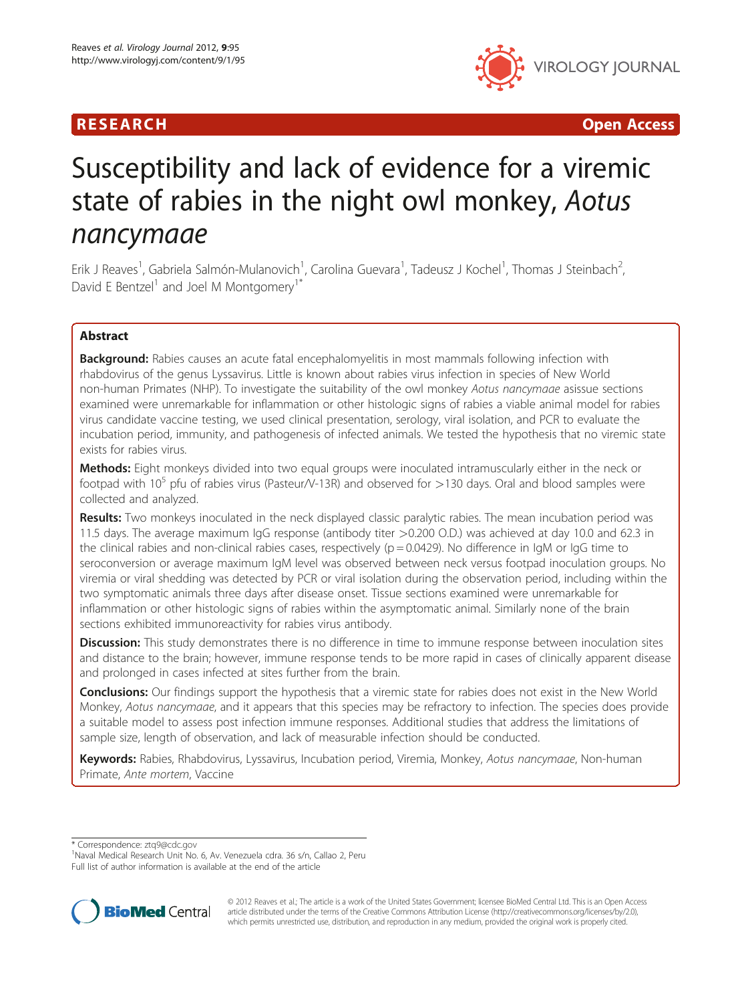



# Susceptibility and lack of evidence for a viremic state of rabies in the night owl monkey, Aotus<br>nancymaae

erik J Reaves<sup>1</sup>, Gabriela Salmón-Mulanovich<sup>1</sup>, Carolina Guevara<sup>1</sup>, Tadeusz J Kochel<sup>1</sup>, Thomas J Steinbach<sup>2</sup> , David E Bentzel<sup>1</sup> and Joel M Montgomerv<sup>1\*</sup>

# Abstract

**Background:** Rabies causes an acute fatal encephalomyelitis in most mammals following infection with rhabdovirus of the genus Lyssavirus. Little is known about rabies virus infection in species of New World non-human Primates (NHP). To investigate the suitability of the owl monkey Aotus nancymaae asissue sections examined were unremarkable for inflammation or other histologic signs of rabies a viable animal model for rabies virus candidate vaccine testing, we used clinical presentation, serology, viral isolation, and PCR to evaluate the incubation period, immunity, and pathogenesis of infected animals. We tested the hypothesis that no viremic state exists for rabies virus.

Methods: Eight monkeys divided into two equal groups were inoculated intramuscularly either in the neck or footpad with 10<sup>5</sup> pfu of rabies virus (Pasteur/V-13R) and observed for  $>$ 130 days. Oral and blood samples were collected and analyzed.

Results: Two monkeys inoculated in the neck displayed classic paralytic rabies. The mean incubation period was 11.5 days. The average maximum IgG response (antibody titer >0.200 O.D.) was achieved at day 10.0 and 62.3 in the clinical rabies and non-clinical rabies cases, respectively ( $p = 0.0429$ ). No difference in IgM or IgG time to seroconversion or average maximum IgM level was observed between neck versus footpad inoculation groups. No viremia or viral shedding was detected by PCR or viral isolation during the observation period, including within the two symptomatic animals three days after disease onset. Tissue sections examined were unremarkable for inflammation or other histologic signs of rabies within the asymptomatic animal. Similarly none of the brain sections exhibited immunoreactivity for rabies virus antibody.

Discussion: This study demonstrates there is no difference in time to immune response between inoculation sites and distance to the brain; however, immune response tends to be more rapid in cases of clinically apparent disease and prolonged in cases infected at sites further from the brain.

Conclusions: Our findings support the hypothesis that a viremic state for rabies does not exist in the New World Monkey, Aotus nancymaae, and it appears that this species may be refractory to infection. The species does provide a suitable model to assess post infection immune responses. Additional studies that address the limitations of sample size, length of observation, and lack of measurable infection should be conducted.

Keywords: Rabies, Rhabdovirus, Lyssavirus, Incubation period, Viremia, Monkey, Aotus nancymaae, Non-human Primate, Ante mortem, Vaccine

\* Correspondence: [ztq9@cdc.gov](mailto:ztq9@cdc.gov) <sup>1</sup>

<sup>1</sup>Naval Medical Research Unit No. 6, Av. Venezuela cdra. 36 s/n. Callao 2, Peru Full list of author information is available at the end of the article



© 2012 Reaves et al.; The article is a work of the United States Government; licensee BioMed Central Ltd. This is an Open Access article distributed under the terms of the Creative Commons Attribution License (http://creativecommons.org/licenses/by/2.0), which permits unrestricted use, distribution, and reproduction in any medium, provided the original work is properly cited.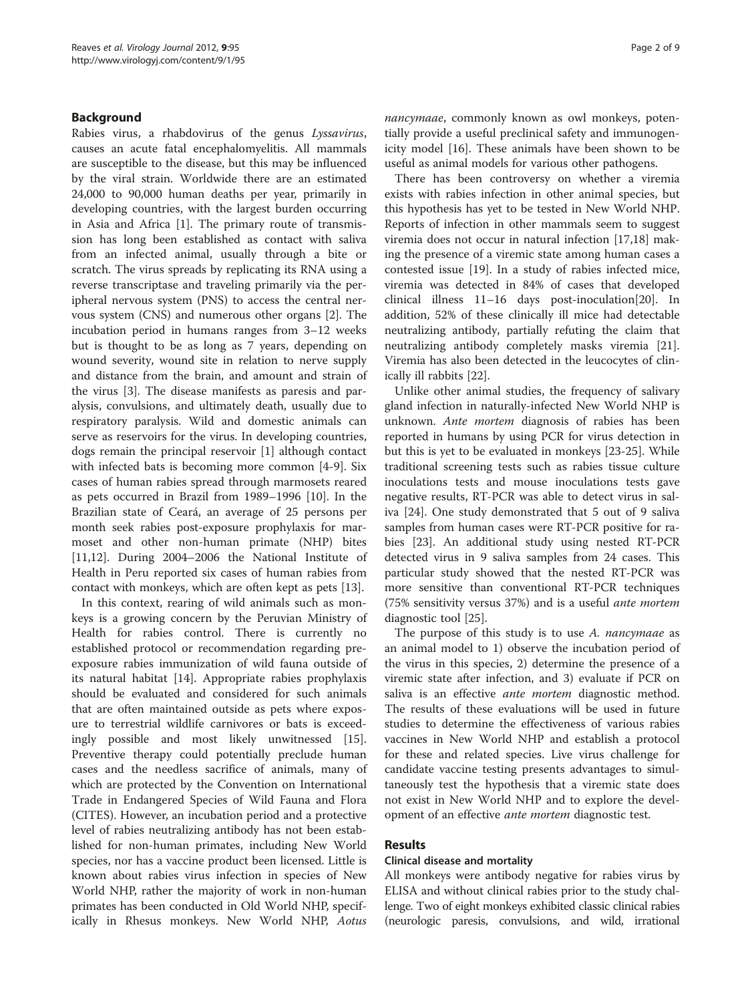# Background

Rabies virus, a rhabdovirus of the genus Lyssavirus, causes an acute fatal encephalomyelitis. All mammals are susceptible to the disease, but this may be influenced by the viral strain. Worldwide there are an estimated 24,000 to 90,000 human deaths per year, primarily in developing countries, with the largest burden occurring in Asia and Africa [[1](#page-7-0)]. The primary route of transmission has long been established as contact with saliva from an infected animal, usually through a bite or scratch. The virus spreads by replicating its RNA using a reverse transcriptase and traveling primarily via the peripheral nervous system (PNS) to access the central nervous system (CNS) and numerous other organs [[2\]](#page-7-0). The incubation period in humans ranges from 3–12 weeks but is thought to be as long as 7 years, depending on wound severity, wound site in relation to nerve supply and distance from the brain, and amount and strain of the virus [[3\]](#page-7-0). The disease manifests as paresis and paralysis, convulsions, and ultimately death, usually due to respiratory paralysis. Wild and domestic animals can serve as reservoirs for the virus. In developing countries, dogs remain the principal reservoir [[1](#page-7-0)] although contact with infected bats is becoming more common [[4-9](#page-7-0)]. Six cases of human rabies spread through marmosets reared as pets occurred in Brazil from 1989–1996 [[10\]](#page-7-0). In the Brazilian state of Ceará, an average of 25 persons per month seek rabies post-exposure prophylaxis for marmoset and other non-human primate (NHP) bites [[11,12\]](#page-7-0). During 2004–2006 the National Institute of Health in Peru reported six cases of human rabies from contact with monkeys, which are often kept as pets [\[13](#page-7-0)].

In this context, rearing of wild animals such as monkeys is a growing concern by the Peruvian Ministry of Health for rabies control. There is currently no established protocol or recommendation regarding preexposure rabies immunization of wild fauna outside of its natural habitat [[14](#page-7-0)]. Appropriate rabies prophylaxis should be evaluated and considered for such animals that are often maintained outside as pets where exposure to terrestrial wildlife carnivores or bats is exceedingly possible and most likely unwitnessed [\[15](#page-7-0)]. Preventive therapy could potentially preclude human cases and the needless sacrifice of animals, many of which are protected by the Convention on International Trade in Endangered Species of Wild Fauna and Flora (CITES). However, an incubation period and a protective level of rabies neutralizing antibody has not been established for non-human primates, including New World species, nor has a vaccine product been licensed. Little is known about rabies virus infection in species of New World NHP, rather the majority of work in non-human primates has been conducted in Old World NHP, specifically in Rhesus monkeys. New World NHP, Aotus nancymaae, commonly known as owl monkeys, potentially provide a useful preclinical safety and immunogenicity model [\[16](#page-7-0)]. These animals have been shown to be useful as animal models for various other pathogens.

There has been controversy on whether a viremia exists with rabies infection in other animal species, but this hypothesis has yet to be tested in New World NHP. Reports of infection in other mammals seem to suggest viremia does not occur in natural infection [\[17,18](#page-7-0)] making the presence of a viremic state among human cases a contested issue [[19](#page-7-0)]. In a study of rabies infected mice, viremia was detected in 84% of cases that developed clinical illness 11–16 days post-inoculation[\[20\]](#page-7-0). In addition, 52% of these clinically ill mice had detectable neutralizing antibody, partially refuting the claim that neutralizing antibody completely masks viremia [\[21](#page-7-0)]. Viremia has also been detected in the leucocytes of clinically ill rabbits [\[22\]](#page-7-0).

Unlike other animal studies, the frequency of salivary gland infection in naturally-infected New World NHP is unknown. Ante mortem diagnosis of rabies has been reported in humans by using PCR for virus detection in but this is yet to be evaluated in monkeys [\[23](#page-8-0)-[25](#page-8-0)]. While traditional screening tests such as rabies tissue culture inoculations tests and mouse inoculations tests gave negative results, RT-PCR was able to detect virus in saliva [\[24](#page-8-0)]. One study demonstrated that 5 out of 9 saliva samples from human cases were RT-PCR positive for rabies [[23\]](#page-8-0). An additional study using nested RT-PCR detected virus in 9 saliva samples from 24 cases. This particular study showed that the nested RT-PCR was more sensitive than conventional RT-PCR techniques (75% sensitivity versus 37%) and is a useful ante mortem diagnostic tool [\[25\]](#page-8-0).

The purpose of this study is to use A. nancymaae as an animal model to 1) observe the incubation period of the virus in this species, 2) determine the presence of a viremic state after infection, and 3) evaluate if PCR on saliva is an effective ante mortem diagnostic method. The results of these evaluations will be used in future studies to determine the effectiveness of various rabies vaccines in New World NHP and establish a protocol for these and related species. Live virus challenge for candidate vaccine testing presents advantages to simultaneously test the hypothesis that a viremic state does not exist in New World NHP and to explore the development of an effective ante mortem diagnostic test.

#### Results

#### Clinical disease and mortality

All monkeys were antibody negative for rabies virus by ELISA and without clinical rabies prior to the study challenge. Two of eight monkeys exhibited classic clinical rabies (neurologic paresis, convulsions, and wild, irrational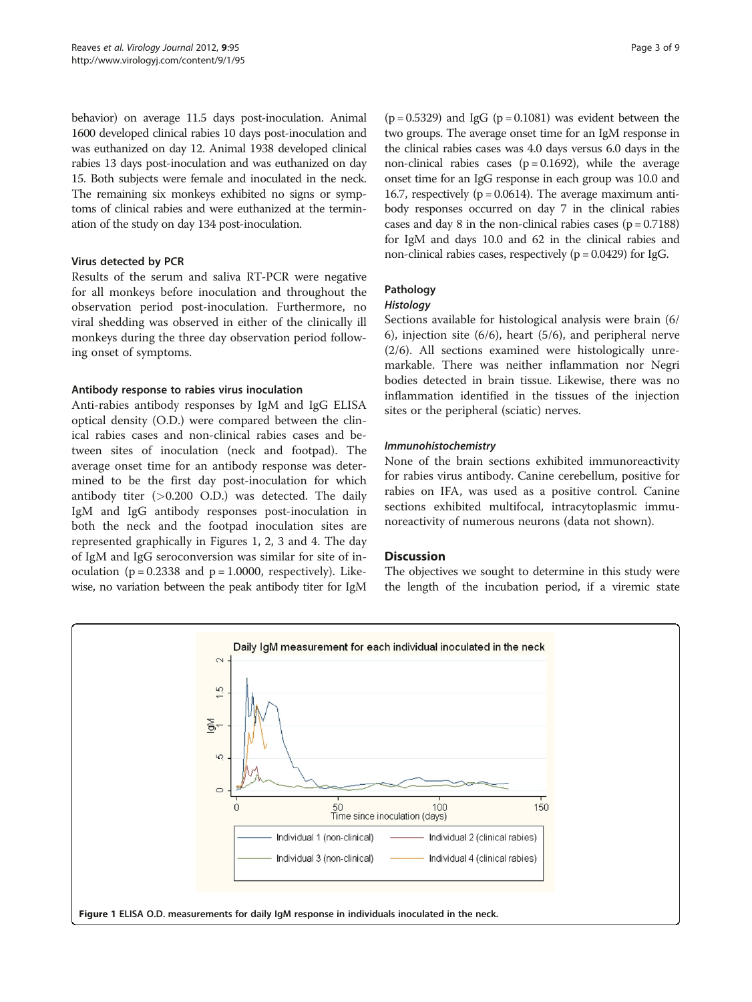behavior) on average 11.5 days post-inoculation. Animal 1600 developed clinical rabies 10 days post-inoculation and was euthanized on day 12. Animal 1938 developed clinical rabies 13 days post-inoculation and was euthanized on day 15. Both subjects were female and inoculated in the neck. The remaining six monkeys exhibited no signs or symptoms of clinical rabies and were euthanized at the termination of the study on day 134 post-inoculation.

#### Virus detected by PCR

Results of the serum and saliva RT-PCR were negative for all monkeys before inoculation and throughout the observation period post-inoculation. Furthermore, no viral shedding was observed in either of the clinically ill monkeys during the three day observation period following onset of symptoms.

#### Antibody response to rabies virus inoculation

Anti-rabies antibody responses by IgM and IgG ELISA optical density (O.D.) were compared between the clinical rabies cases and non-clinical rabies cases and between sites of inoculation (neck and footpad). The average onset time for an antibody response was determined to be the first day post-inoculation for which antibody titer  $(>0.200$  O.D.) was detected. The daily IgM and IgG antibody responses post-inoculation in both the neck and the footpad inoculation sites are represented graphically in Figures 1, [2, 3](#page-3-0) and [4.](#page-4-0) The day of IgM and IgG seroconversion was similar for site of inoculation ( $p = 0.2338$  and  $p = 1.0000$ , respectively). Likewise, no variation between the peak antibody titer for IgM

 $(p = 0.5329)$  and IgG  $(p = 0.1081)$  was evident between the two groups. The average onset time for an IgM response in the clinical rabies cases was 4.0 days versus 6.0 days in the non-clinical rabies cases  $(p = 0.1692)$ , while the average onset time for an IgG response in each group was 10.0 and 16.7, respectively ( $p = 0.0614$ ). The average maximum antibody responses occurred on day 7 in the clinical rabies cases and day 8 in the non-clinical rabies cases  $(p = 0.7188)$ for IgM and days 10.0 and 62 in the clinical rabies and non-clinical rabies cases, respectively ( $p = 0.0429$ ) for IgG.

# Pathology

Sections available for histological analysis were brain (6/ 6), injection site (6/6), heart (5/6), and peripheral nerve (2/6). All sections examined were histologically unremarkable. There was neither inflammation nor Negri bodies detected in brain tissue. Likewise, there was no inflammation identified in the tissues of the injection sites or the peripheral (sciatic) nerves.

None of the brain sections exhibited immunoreactivity for rabies virus antibody. Canine cerebellum, positive for rabies on IFA, was used as a positive control. Canine sections exhibited multifocal, intracytoplasmic immunoreactivity of numerous neurons (data not shown).

#### **Discussion**

The objectives we sought to determine in this study were the length of the incubation period, if a viremic state

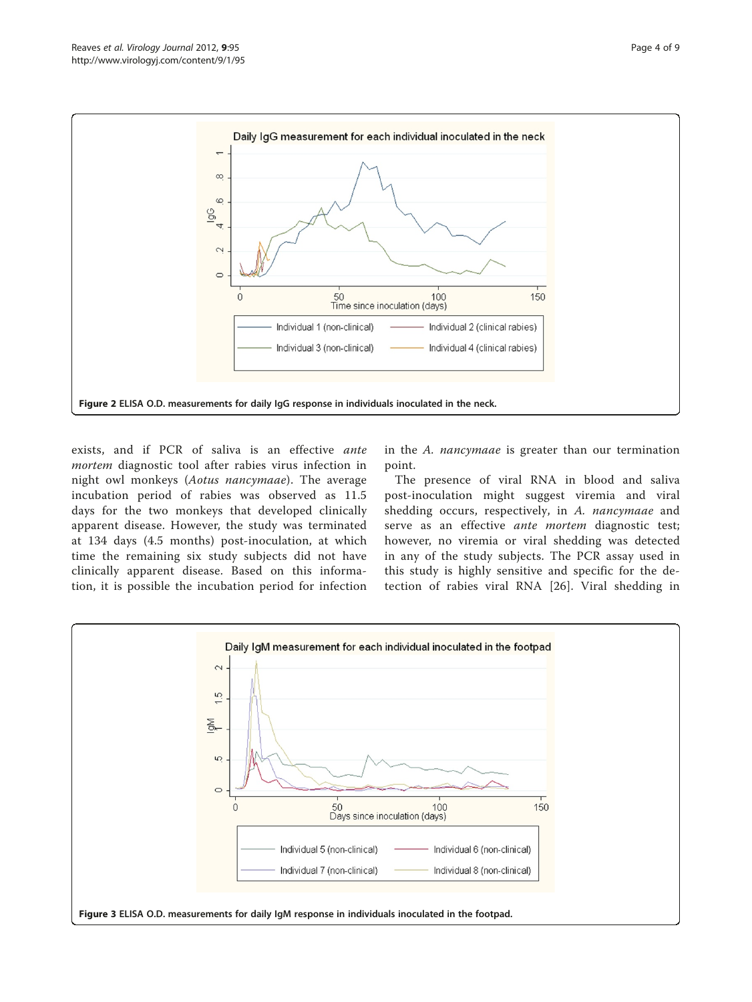<span id="page-3-0"></span>

exists, and if PCR of saliva is an effective ante mortem diagnostic tool after rabies virus infection in night owl monkeys (Aotus nancymaae). The average incubation period of rabies was observed as 11.5 days for the two monkeys that developed clinically apparent disease. However, the study was terminated at 134 days (4.5 months) post-inoculation, at which time the remaining six study subjects did not have clinically apparent disease. Based on this information, it is possible the incubation period for infection

in the A. nancymaae is greater than our termination point.

The presence of viral RNA in blood and saliva post-inoculation might suggest viremia and viral shedding occurs, respectively, in A. nancymaae and serve as an effective ante mortem diagnostic test; however, no viremia or viral shedding was detected in any of the study subjects. The PCR assay used in this study is highly sensitive and specific for the detection of rabies viral RNA [[26\]](#page-8-0). Viral shedding in

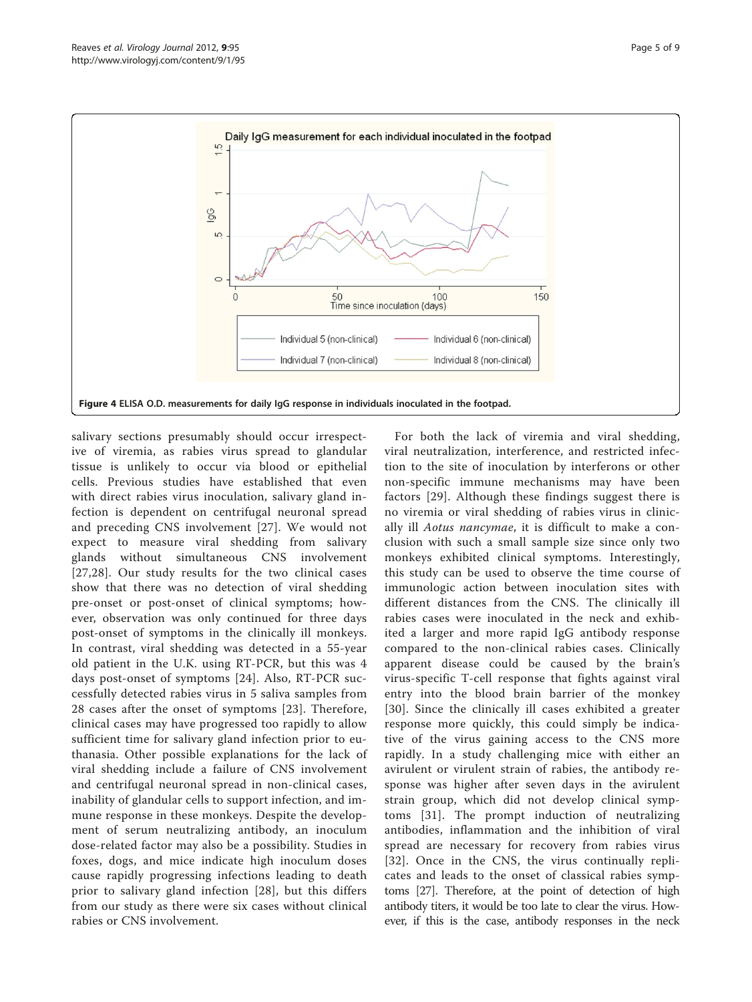<span id="page-4-0"></span>

salivary sections presumably should occur irrespective of viremia, as rabies virus spread to glandular tissue is unlikely to occur via blood or epithelial cells. Previous studies have established that even with direct rabies virus inoculation, salivary gland infection is dependent on centrifugal neuronal spread and preceding CNS involvement [[27](#page-8-0)]. We would not expect to measure viral shedding from salivary glands without simultaneous CNS involvement [[27](#page-8-0),[28\]](#page-8-0). Our study results for the two clinical cases show that there was no detection of viral shedding pre-onset or post-onset of clinical symptoms; however, observation was only continued for three days post-onset of symptoms in the clinically ill monkeys. In contrast, viral shedding was detected in a 55-year old patient in the U.K. using RT-PCR, but this was 4 days post-onset of symptoms [[24\]](#page-8-0). Also, RT-PCR successfully detected rabies virus in 5 saliva samples from 28 cases after the onset of symptoms [[23\]](#page-8-0). Therefore, clinical cases may have progressed too rapidly to allow sufficient time for salivary gland infection prior to euthanasia. Other possible explanations for the lack of viral shedding include a failure of CNS involvement and centrifugal neuronal spread in non-clinical cases, inability of glandular cells to support infection, and immune response in these monkeys. Despite the development of serum neutralizing antibody, an inoculum dose-related factor may also be a possibility. Studies in foxes, dogs, and mice indicate high inoculum doses cause rapidly progressing infections leading to death prior to salivary gland infection [[28](#page-8-0)], but this differs from our study as there were six cases without clinical rabies or CNS involvement.

For both the lack of viremia and viral shedding, viral neutralization, interference, and restricted infection to the site of inoculation by interferons or other non-specific immune mechanisms may have been factors [[29](#page-8-0)]. Although these findings suggest there is no viremia or viral shedding of rabies virus in clinically ill Aotus nancymae, it is difficult to make a conclusion with such a small sample size since only two monkeys exhibited clinical symptoms. Interestingly, this study can be used to observe the time course of immunologic action between inoculation sites with different distances from the CNS. The clinically ill rabies cases were inoculated in the neck and exhibited a larger and more rapid IgG antibody response compared to the non-clinical rabies cases. Clinically apparent disease could be caused by the brain's virus-specific T-cell response that fights against viral entry into the blood brain barrier of the monkey [[30](#page-8-0)]. Since the clinically ill cases exhibited a greater response more quickly, this could simply be indicative of the virus gaining access to the CNS more rapidly. In a study challenging mice with either an avirulent or virulent strain of rabies, the antibody response was higher after seven days in the avirulent strain group, which did not develop clinical symptoms [[31\]](#page-8-0). The prompt induction of neutralizing antibodies, inflammation and the inhibition of viral spread are necessary for recovery from rabies virus [[32](#page-8-0)]. Once in the CNS, the virus continually replicates and leads to the onset of classical rabies symptoms [\[27\]](#page-8-0). Therefore, at the point of detection of high antibody titers, it would be too late to clear the virus. However, if this is the case, antibody responses in the neck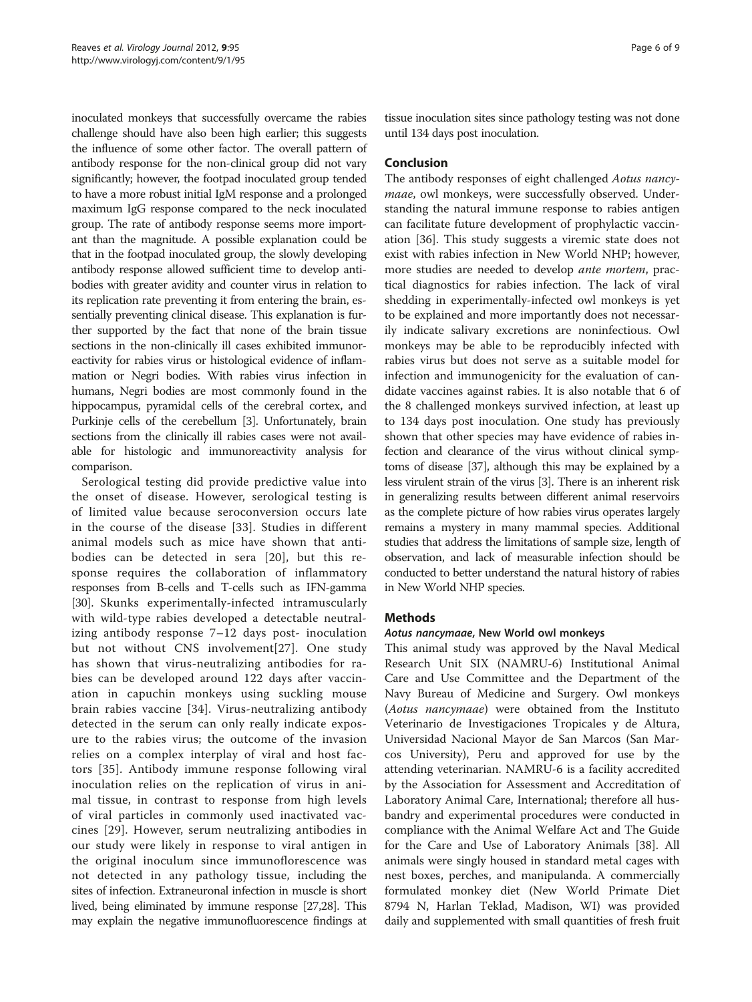inoculated monkeys that successfully overcame the rabies challenge should have also been high earlier; this suggests the influence of some other factor. The overall pattern of antibody response for the non-clinical group did not vary significantly; however, the footpad inoculated group tended to have a more robust initial IgM response and a prolonged maximum IgG response compared to the neck inoculated group. The rate of antibody response seems more important than the magnitude. A possible explanation could be that in the footpad inoculated group, the slowly developing antibody response allowed sufficient time to develop antibodies with greater avidity and counter virus in relation to its replication rate preventing it from entering the brain, essentially preventing clinical disease. This explanation is further supported by the fact that none of the brain tissue sections in the non-clinically ill cases exhibited immunoreactivity for rabies virus or histological evidence of inflammation or Negri bodies. With rabies virus infection in humans, Negri bodies are most commonly found in the hippocampus, pyramidal cells of the cerebral cortex, and Purkinje cells of the cerebellum [\[3\]](#page-7-0). Unfortunately, brain sections from the clinically ill rabies cases were not available for histologic and immunoreactivity analysis for comparison.

Serological testing did provide predictive value into the onset of disease. However, serological testing is of limited value because seroconversion occurs late in the course of the disease [[33](#page-8-0)]. Studies in different animal models such as mice have shown that antibodies can be detected in sera [[20](#page-7-0)], but this response requires the collaboration of inflammatory responses from B-cells and T-cells such as IFN-gamma [[30](#page-8-0)]. Skunks experimentally-infected intramuscularly with wild-type rabies developed a detectable neutralizing antibody response 7–12 days post- inoculation but not without CNS involvement[\[27\]](#page-8-0). One study has shown that virus-neutralizing antibodies for rabies can be developed around 122 days after vaccination in capuchin monkeys using suckling mouse brain rabies vaccine [[34\]](#page-8-0). Virus-neutralizing antibody detected in the serum can only really indicate exposure to the rabies virus; the outcome of the invasion relies on a complex interplay of viral and host factors [\[35](#page-8-0)]. Antibody immune response following viral inoculation relies on the replication of virus in animal tissue, in contrast to response from high levels of viral particles in commonly used inactivated vaccines [[29\]](#page-8-0). However, serum neutralizing antibodies in our study were likely in response to viral antigen in the original inoculum since immunoflorescence was not detected in any pathology tissue, including the sites of infection. Extraneuronal infection in muscle is short lived, being eliminated by immune response [\[27,28\]](#page-8-0). This may explain the negative immunofluorescence findings at tissue inoculation sites since pathology testing was not done until 134 days post inoculation.

# Conclusion

The antibody responses of eight challenged Aotus nancymaae, owl monkeys, were successfully observed. Understanding the natural immune response to rabies antigen can facilitate future development of prophylactic vaccination [[36](#page-8-0)]. This study suggests a viremic state does not exist with rabies infection in New World NHP; however, more studies are needed to develop ante mortem, practical diagnostics for rabies infection. The lack of viral shedding in experimentally-infected owl monkeys is yet to be explained and more importantly does not necessarily indicate salivary excretions are noninfectious. Owl monkeys may be able to be reproducibly infected with rabies virus but does not serve as a suitable model for infection and immunogenicity for the evaluation of candidate vaccines against rabies. It is also notable that 6 of the 8 challenged monkeys survived infection, at least up to 134 days post inoculation. One study has previously shown that other species may have evidence of rabies infection and clearance of the virus without clinical symptoms of disease [\[37\]](#page-8-0), although this may be explained by a less virulent strain of the virus [\[3\]](#page-7-0). There is an inherent risk in generalizing results between different animal reservoirs as the complete picture of how rabies virus operates largely remains a mystery in many mammal species. Additional studies that address the limitations of sample size, length of observation, and lack of measurable infection should be conducted to better understand the natural history of rabies in New World NHP species.

# **Methods**

# Aotus nancymaae, New World owl monkeys

This animal study was approved by the Naval Medical Research Unit SIX (NAMRU-6) Institutional Animal Care and Use Committee and the Department of the Navy Bureau of Medicine and Surgery. Owl monkeys (Aotus nancymaae) were obtained from the Instituto Veterinario de Investigaciones Tropicales y de Altura, Universidad Nacional Mayor de San Marcos (San Marcos University), Peru and approved for use by the attending veterinarian. NAMRU-6 is a facility accredited by the Association for Assessment and Accreditation of Laboratory Animal Care, International; therefore all husbandry and experimental procedures were conducted in compliance with the Animal Welfare Act and The Guide for the Care and Use of Laboratory Animals [[38](#page-8-0)]. All animals were singly housed in standard metal cages with nest boxes, perches, and manipulanda. A commercially formulated monkey diet (New World Primate Diet 8794 N, Harlan Teklad, Madison, WI) was provided daily and supplemented with small quantities of fresh fruit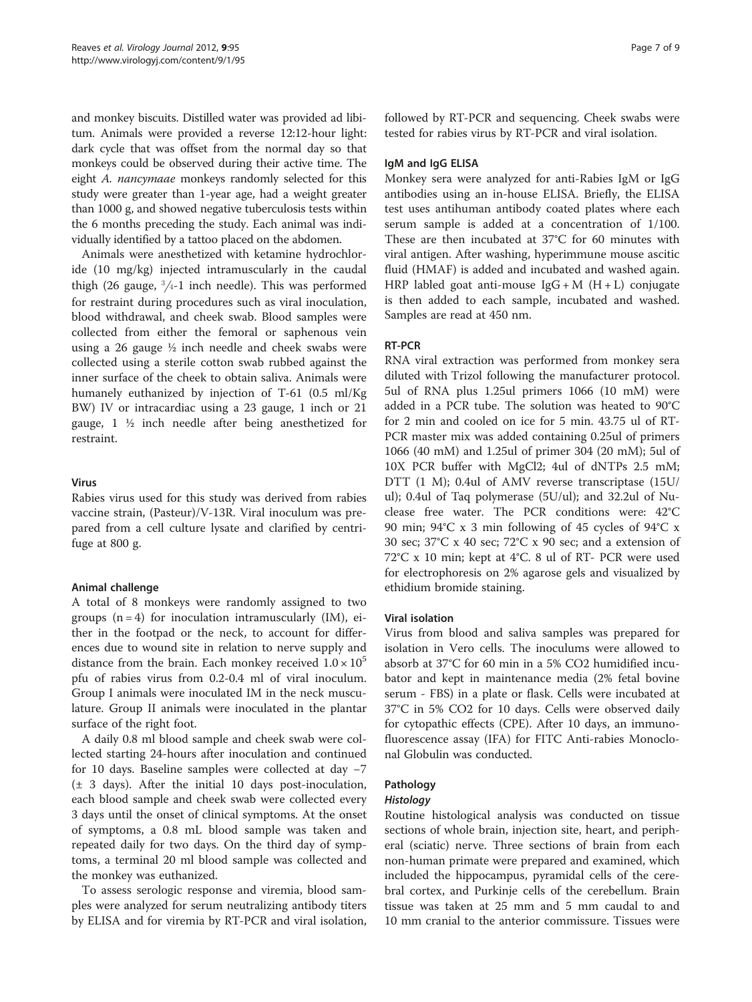and monkey biscuits. Distilled water was provided ad libitum. Animals were provided a reverse 12:12-hour light: dark cycle that was offset from the normal day so that monkeys could be observed during their active time. The eight A. nancymaae monkeys randomly selected for this study were greater than 1-year age, had a weight greater than 1000 g, and showed negative tuberculosis tests within the 6 months preceding the study. Each animal was individually identified by a tattoo placed on the abdomen.

Animals were anesthetized with ketamine hydrochloride (10 mg/kg) injected intramuscularly in the caudal thigh (26 gauge,  $\frac{3}{4}$ -1 inch needle). This was performed for restraint during procedures such as viral inoculation, blood withdrawal, and cheek swab. Blood samples were collected from either the femoral or saphenous vein using a 26 gauge ½ inch needle and cheek swabs were collected using a sterile cotton swab rubbed against the inner surface of the cheek to obtain saliva. Animals were humanely euthanized by injection of T-61 (0.5 ml/Kg BW) IV or intracardiac using a 23 gauge, 1 inch or 21 gauge, 1 ½ inch needle after being anesthetized for restraint.

# Virus

Rabies virus used for this study was derived from rabies vaccine strain, (Pasteur)/V-13R. Viral inoculum was prepared from a cell culture lysate and clarified by centrifuge at 800 g.

# Animal challenge

A total of 8 monkeys were randomly assigned to two groups  $(n = 4)$  for inoculation intramuscularly (IM), either in the footpad or the neck, to account for differences due to wound site in relation to nerve supply and distance from the brain. Each monkey received  $1.0 \times 10^5$ pfu of rabies virus from 0.2-0.4 ml of viral inoculum. Group I animals were inoculated IM in the neck musculature. Group II animals were inoculated in the plantar surface of the right foot.

A daily 0.8 ml blood sample and cheek swab were collected starting 24-hours after inoculation and continued for 10 days. Baseline samples were collected at day −7 (± 3 days). After the initial 10 days post-inoculation, each blood sample and cheek swab were collected every 3 days until the onset of clinical symptoms. At the onset of symptoms, a 0.8 mL blood sample was taken and repeated daily for two days. On the third day of symptoms, a terminal 20 ml blood sample was collected and the monkey was euthanized.

To assess serologic response and viremia, blood samples were analyzed for serum neutralizing antibody titers by ELISA and for viremia by RT-PCR and viral isolation, followed by RT-PCR and sequencing. Cheek swabs were tested for rabies virus by RT-PCR and viral isolation.

#### IgM and IgG ELISA

Monkey sera were analyzed for anti-Rabies IgM or IgG antibodies using an in-house ELISA. Briefly, the ELISA test uses antihuman antibody coated plates where each serum sample is added at a concentration of 1/100. These are then incubated at 37°C for 60 minutes with viral antigen. After washing, hyperimmune mouse ascitic fluid (HMAF) is added and incubated and washed again. HRP labled goat anti-mouse  $I gG + M (H + L)$  conjugate is then added to each sample, incubated and washed. Samples are read at 450 nm.

# RT-PCR

RNA viral extraction was performed from monkey sera diluted with Trizol following the manufacturer protocol. 5ul of RNA plus 1.25ul primers 1066 (10 mM) were added in a PCR tube. The solution was heated to 90°C for 2 min and cooled on ice for 5 min. 43.75 ul of RT-PCR master mix was added containing 0.25ul of primers 1066 (40 mM) and 1.25ul of primer 304 (20 mM); 5ul of 10X PCR buffer with MgCl2; 4ul of dNTPs 2.5 mM; DTT (1 M); 0.4ul of AMV reverse transcriptase (15U/ ul); 0.4ul of Taq polymerase (5U/ul); and 32.2ul of Nuclease free water. The PCR conditions were: 42°C 90 min; 94°C x 3 min following of 45 cycles of 94°C x 30 sec; 37°C x 40 sec; 72°C x 90 sec; and a extension of 72°C x 10 min; kept at 4°C. 8 ul of RT- PCR were used for electrophoresis on 2% agarose gels and visualized by ethidium bromide staining.

#### Viral isolation

Virus from blood and saliva samples was prepared for isolation in Vero cells. The inoculums were allowed to absorb at 37°C for 60 min in a 5% CO2 humidified incubator and kept in maintenance media (2% fetal bovine serum - FBS) in a plate or flask. Cells were incubated at 37°C in 5% CO2 for 10 days. Cells were observed daily for cytopathic effects (CPE). After 10 days, an immunofluorescence assay (IFA) for FITC Anti-rabies Monoclonal Globulin was conducted.

# Pathology

Routine histological analysis was conducted on tissue sections of whole brain, injection site, heart, and peripheral (sciatic) nerve. Three sections of brain from each non-human primate were prepared and examined, which included the hippocampus, pyramidal cells of the cerebral cortex, and Purkinje cells of the cerebellum. Brain tissue was taken at 25 mm and 5 mm caudal to and 10 mm cranial to the anterior commissure. Tissues were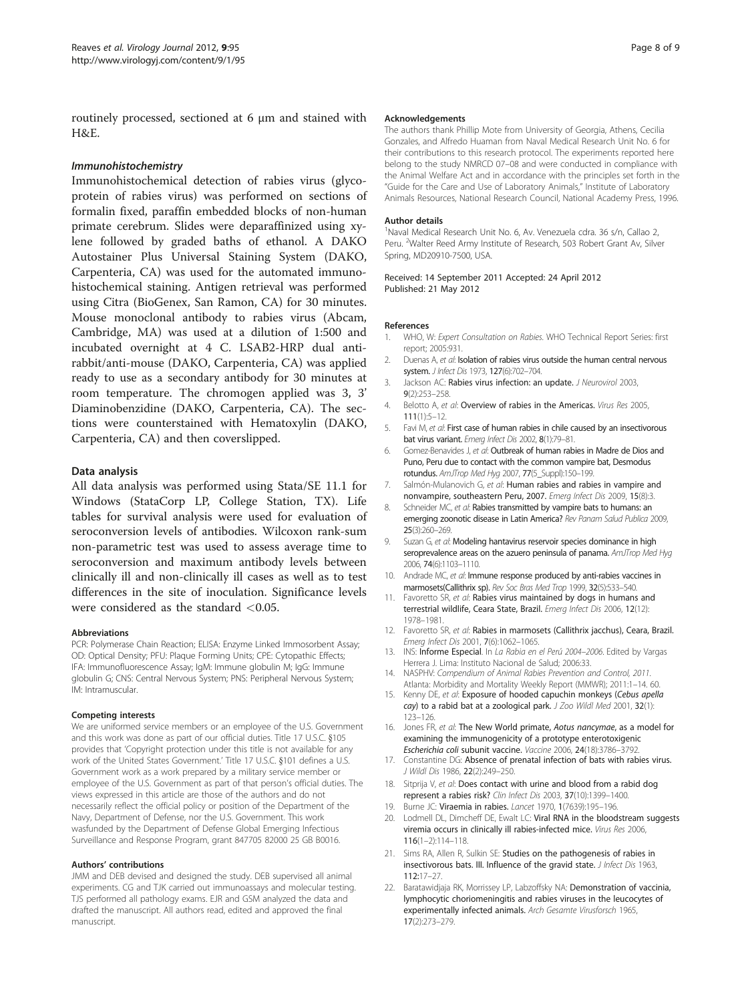<span id="page-7-0"></span>routinely processed, sectioned at 6 μm and stained with H&E.

Immunohistochemical detection of rabies virus (glycoprotein of rabies virus) was performed on sections of formalin fixed, paraffin embedded blocks of non-human primate cerebrum. Slides were deparaffinized using xylene followed by graded baths of ethanol. A DAKO Autostainer Plus Universal Staining System (DAKO, Carpenteria, CA) was used for the automated immunohistochemical staining. Antigen retrieval was performed using Citra (BioGenex, San Ramon, CA) for 30 minutes. Mouse monoclonal antibody to rabies virus (Abcam, Cambridge, MA) was used at a dilution of 1:500 and incubated overnight at 4 C. LSAB2-HRP dual antirabbit/anti-mouse (DAKO, Carpenteria, CA) was applied ready to use as a secondary antibody for 30 minutes at room temperature. The chromogen applied was 3, 3' Diaminobenzidine (DAKO, Carpenteria, CA). The sections were counterstained with Hematoxylin (DAKO, Carpenteria, CA) and then coverslipped.

#### Data analysis

All data analysis was performed using Stata/SE 11.1 for Windows (StataCorp LP, College Station, TX). Life tables for survival analysis were used for evaluation of seroconversion levels of antibodies. Wilcoxon rank-sum non-parametric test was used to assess average time to seroconversion and maximum antibody levels between clinically ill and non-clinically ill cases as well as to test differences in the site of inoculation. Significance levels were considered as the standard  $< 0.05$ .

#### Abbreviations

PCR: Polymerase Chain Reaction; ELISA: Enzyme Linked Immosorbent Assay; OD: Optical Density; PFU: Plaque Forming Units; CPE: Cytopathic Effects; IFA: Immunofluorescence Assay; IgM: Immune globulin M; IgG: Immune globulin G; CNS: Central Nervous System; PNS: Peripheral Nervous System; IM: Intramuscular.

#### Competing interests

We are uniformed service members or an employee of the U.S. Government and this work was done as part of our official duties. Title 17 U.S.C. §105 provides that 'Copyright protection under this title is not available for any work of the United States Government.' Title 17 U.S.C. }101 defines a U.S. Government work as a work prepared by a military service member or employee of the U.S. Government as part of that person's official duties. The views expressed in this article are those of the authors and do not necessarily reflect the official policy or position of the Department of the Navy, Department of Defense, nor the U.S. Government. This work wasfunded by the Department of Defense Global Emerging Infectious Surveillance and Response Program, grant 847705 82000 25 GB B0016.

#### Authors' contributions

JMM and DEB devised and designed the study. DEB supervised all animal experiments. CG and TJK carried out immunoassays and molecular testing. TJS performed all pathology exams. EJR and GSM analyzed the data and drafted the manuscript. All authors read, edited and approved the final manuscript.

#### Acknowledgements

The authors thank Phillip Mote from University of Georgia, Athens, Cecilia Gonzales, and Alfredo Huaman from Naval Medical Research Unit No. 6 for their contributions to this research protocol. The experiments reported here belong to the study NMRCD 07–08 and were conducted in compliance with the Animal Welfare Act and in accordance with the principles set forth in the "Guide for the Care and Use of Laboratory Animals," Institute of Laboratory Animals Resources, National Research Council, National Academy Press, 1996.

#### Author details

<sup>1</sup> Naval Medical Research Unit No. 6, Av. Venezuela cdra. 36 s/n, Callao 2 Peru. <sup>2</sup>Walter Reed Army Institute of Research, 503 Robert Grant Av, Silver Spring, MD20910-7500, USA.

Received: 14 September 2011 Accepted: 24 April 2012 Published: 21 May 2012

#### References

- 1. WHO, W: Expert Consultation on Rabies. WHO Technical Report Series: first report; 2005:931.
- 2. Duenas A, et al: Isolation of rabies virus outside the human central nervous system. J Infect Dis 1973, 127(6):702-704.
- 3. Jackson AC: Rabies virus infection: an update. J Neurovirol 2003, 9(2):253–258.
- 4. Belotto A, et al: Overview of rabies in the Americas. Virus Res 2005, 111(1):5–12.
- 5. Favi M, et al: First case of human rabies in chile caused by an insectivorous bat virus variant. Emerg Infect Dis 2002, 8(1):79–81.
- 6. Gomez-Benavides J, et al: Outbreak of human rabies in Madre de Dios and Puno, Peru due to contact with the common vampire bat, Desmodus rotundus. AmJTrop Med Hyg 2007, 77(5\_Suppl):150–199.
- 7. Salmón-Mulanovich G, et al: Human rabies and rabies in vampire and nonvampire, southeastern Peru, 2007. Emerg Infect Dis 2009, 15(8):3.
- 8. Schneider MC, et al: Rabies transmitted by vampire bats to humans: an emerging zoonotic disease in Latin America? Rev Panam Salud Publica 2009, 25(3):260–269.
- 9. Suzan G, et al: Modeling hantavirus reservoir species dominance in high seroprevalence areas on the azuero peninsula of panama. AmJTrop Med Hyg 2006, 74(6):1103–1110.
- 10. Andrade MC, et al: Immune response produced by anti-rabies vaccines in marmosets(Callithrix sp). Rev Soc Bras Med Trop 1999, 32(5):533–540.
- 11. Favoretto SR, et al: Rabies virus maintained by dogs in humans and terrestrial wildlife, Ceara State, Brazil. Emerg Infect Dis 2006, 12(12): 1978–1981.
- 12. Favoretto SR, et al: Rabies in marmosets (Callithrix jacchus), Ceara, Brazil. Emerg Infect Dis 2001, 7(6):1062–1065.
- 13. INS: Informe Especial. In La Rabia en el Perú 2004–2006. Edited by Vargas Herrera J. Lima: Instituto Nacional de Salud; 2006:33.
- 14. NASPHV: Compendium of Animal Rabies Prevention and Control, 2011. Atlanta: Morbidity and Mortality Weekly Report (MMWR); 2011:1–14. 60.
- 15. Kenny DE, et al: Exposure of hooded capuchin monkeys (Cebus apella cay) to a rabid bat at a zoological park. J Zoo Wildl Med 2001, 32(1): 123–126.
- 16. Jones FR, et al: The New World primate, Aotus nancymae, as a model for examining the immunogenicity of a prototype enterotoxigenic Escherichia coli subunit vaccine. Vaccine 2006, <sup>24</sup>(18):3786–3792.
- 17. Constantine DG: Absence of prenatal infection of bats with rabies virus. J Wildl Dis 1986, 22(2):249–250.
- 18. Sitprija V, et al: Does contact with urine and blood from a rabid dog represent a rabies risk? Clin Infect Dis 2003, 37(10):1399–1400.
- 19. Burne JC: Viraemia in rabies. Lancet 1970, 1(7639):195–196.
- 20. Lodmell DL, Dimcheff DE, Ewalt LC: Viral RNA in the bloodstream suggests viremia occurs in clinically ill rabies-infected mice. Virus Res 2006, 116(1–2):114–118.
- 21. Sims RA, Allen R, Sulkin SE: Studies on the pathogenesis of rabies in insectivorous bats. III. Influence of the gravid state. J Infect Dis 1963, 112:17–27.
- 22. Baratawidjaja RK, Morrissey LP, Labzoffsky NA: Demonstration of vaccinia, lymphocytic choriomeningitis and rabies viruses in the leucocytes of experimentally infected animals. Arch Gesamte Virusforsch 1965, 17(2):273–279.